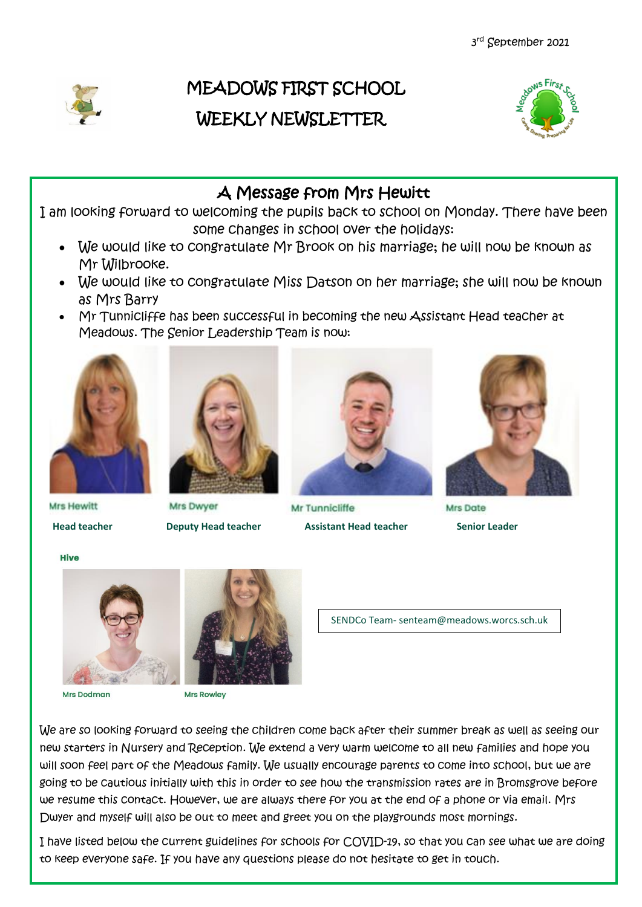

## MEADOWS FIRST SCHOOL WEEKLY NEWSLETTER



## A Message from Mrs Hewitt

I am looking forward to welcoming the pupils back to school on Monday. There have been some changes in school over the holidays:

- We would like to congratulate Mr Brook on his marriage; he will now be known as Mr Wilbrooke.
- We would like to congratulate Miss Datson on her marriage; she will now be known as Mrs Barry
- Mr Tunnicliffe has been successful in becoming the new Assistant Head teacher at Meadows. The Senior Leadership Team is now:



Mrs Dwyer



Mr Tunnicliffe **Office Assistant Head teacher Assistant Head teacher Senior Leader Senior Leader** Senior Leader



Mrs Date

Mrs Hewitt

**Hive** 



Mrs Dodman



**Mrs Rowley** 

SENDCo Team- senteam@meadows.worcs.sch.uk

We are so looking forward to seeing the children come back after their summer break as well as seeing our new starters in Nursery and Reception. We extend a very warm welcome to all new families and hope you will soon feel part of the Meadows family. We usually encourage parents to come into school, but we are going to be cautious initially with this in order to see how the transmission rates are in Bromsgrove before we resume this contact. However, we are always there for you at the end of a phone or via email. Mrs Dwyer and myself will also be out to meet and greet you on the playgrounds most mornings.

I have listed below the current guidelines for schools for COVID-19, so that you can see what we are doing to keep everyone safe. If you have any questions please do not hesitate to get in touch.